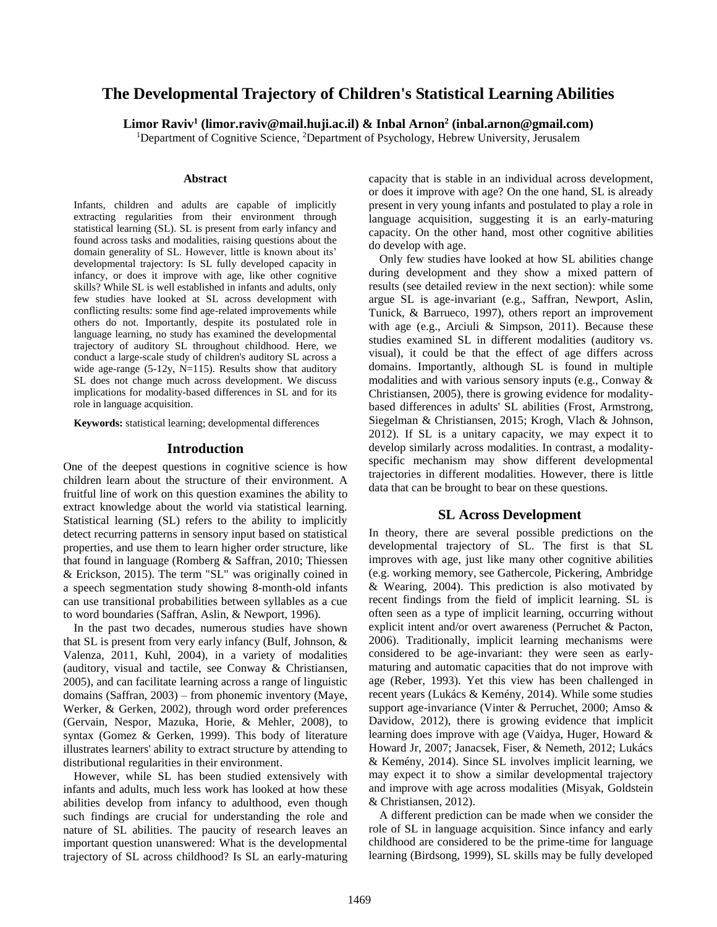# **The Developmental Trajectory of Children's Statistical Learning Abilities**

**Limor Raviv<sup>1</sup> (limor.raviv@mail.huji.ac.il) & Inbal Arnon<sup>2</sup> (inbal.arnon@gmail.com)**

<sup>1</sup>Department of Cognitive Science, <sup>2</sup>Department of Psychology, Hebrew University, Jerusalem

#### **Abstract**

Infants, children and adults are capable of implicitly extracting regularities from their environment through statistical learning (SL). SL is present from early infancy and found across tasks and modalities, raising questions about the domain generality of SL. However, little is known about its' developmental trajectory: Is SL fully developed capacity in infancy, or does it improve with age, like other cognitive skills? While SL is well established in infants and adults, only few studies have looked at SL across development with conflicting results: some find age-related improvements while others do not. Importantly, despite its postulated role in language learning, no study has examined the developmental trajectory of auditory SL throughout childhood. Here, we conduct a large-scale study of children's auditory SL across a wide age-range (5-12y, N=115). Results show that auditory SL does not change much across development. We discuss implications for modality-based differences in SL and for its role in language acquisition.

**Keywords:** statistical learning; developmental differences

#### **Introduction**

One of the deepest questions in cognitive science is how children learn about the structure of their environment. A fruitful line of work on this question examines the ability to extract knowledge about the world via statistical learning. Statistical learning (SL) refers to the ability to implicitly detect recurring patterns in sensory input based on statistical properties, and use them to learn higher order structure, like that found in language (Romberg & Saffran, 2010; Thiessen & Erickson, 2015). The term "SL" was originally coined in a speech segmentation study showing 8-month-old infants can use transitional probabilities between syllables as a cue to word boundaries (Saffran, Aslin, & Newport, 1996).

In the past two decades, numerous studies have shown that SL is present from very early infancy (Bulf, Johnson, & Valenza, 2011, Kuhl, 2004), in a variety of modalities (auditory, visual and tactile, see Conway & Christiansen, 2005), and can facilitate learning across a range of linguistic domains (Saffran, 2003) – from phonemic inventory (Maye, Werker, & Gerken, 2002), through word order preferences (Gervain, Nespor, Mazuka, Horie, & Mehler, 2008), to syntax (Gomez & Gerken, 1999). This body of literature illustrates learners' ability to extract structure by attending to distributional regularities in their environment.

However, while SL has been studied extensively with infants and adults, much less work has looked at how these abilities develop from infancy to adulthood, even though such findings are crucial for understanding the role and nature of SL abilities. The paucity of research leaves an important question unanswered: What is the developmental trajectory of SL across childhood? Is SL an early-maturing capacity that is stable in an individual across development, or does it improve with age? On the one hand, SL is already present in very young infants and postulated to play a role in language acquisition, suggesting it is an early-maturing capacity. On the other hand, most other cognitive abilities do develop with age.

Only few studies have looked at how SL abilities change during development and they show a mixed pattern of results (see detailed review in the next section): while some argue SL is age-invariant (e.g., Saffran, Newport, Aslin, Tunick, & Barrueco, 1997), others report an improvement with age (e.g., Arciuli & Simpson, 2011). Because these studies examined SL in different modalities (auditory vs. visual), it could be that the effect of age differs across domains. Importantly, although SL is found in multiple modalities and with various sensory inputs (e.g., Conway & Christiansen, 2005), there is growing evidence for modalitybased differences in adults' SL abilities (Frost, Armstrong, Siegelman & Christiansen, 2015; Krogh, Vlach & Johnson, 2012). If SL is a unitary capacity, we may expect it to develop similarly across modalities. In contrast, a modalityspecific mechanism may show different developmental trajectories in different modalities. However, there is little data that can be brought to bear on these questions.

## **SL Across Development**

In theory, there are several possible predictions on the developmental trajectory of SL. The first is that SL improves with age, just like many other cognitive abilities (e.g. working memory, see Gathercole, Pickering, Ambridge & Wearing, 2004). This prediction is also motivated by recent findings from the field of implicit learning. SL is often seen as a type of implicit learning, occurring without explicit intent and/or overt awareness (Perruchet & Pacton, 2006). Traditionally, implicit learning mechanisms were considered to be age-invariant: they were seen as earlymaturing and automatic capacities that do not improve with age (Reber, 1993). Yet this view has been challenged in recent years (Lukács & Kemény, 2014). While some studies support age-invariance (Vinter & Perruchet, 2000; Amso & Davidow, 2012), there is growing evidence that implicit learning does improve with age (Vaidya, Huger, Howard & Howard Jr, 2007; Janacsek, Fiser, & Nemeth, 2012; Lukács & Kemény, 2014). Since SL involves implicit learning, we may expect it to show a similar developmental trajectory and improve with age across modalities (Misyak, Goldstein & Christiansen, 2012).

A different prediction can be made when we consider the role of SL in language acquisition. Since infancy and early childhood are considered to be the prime-time for language learning (Birdsong, 1999), SL skills may be fully developed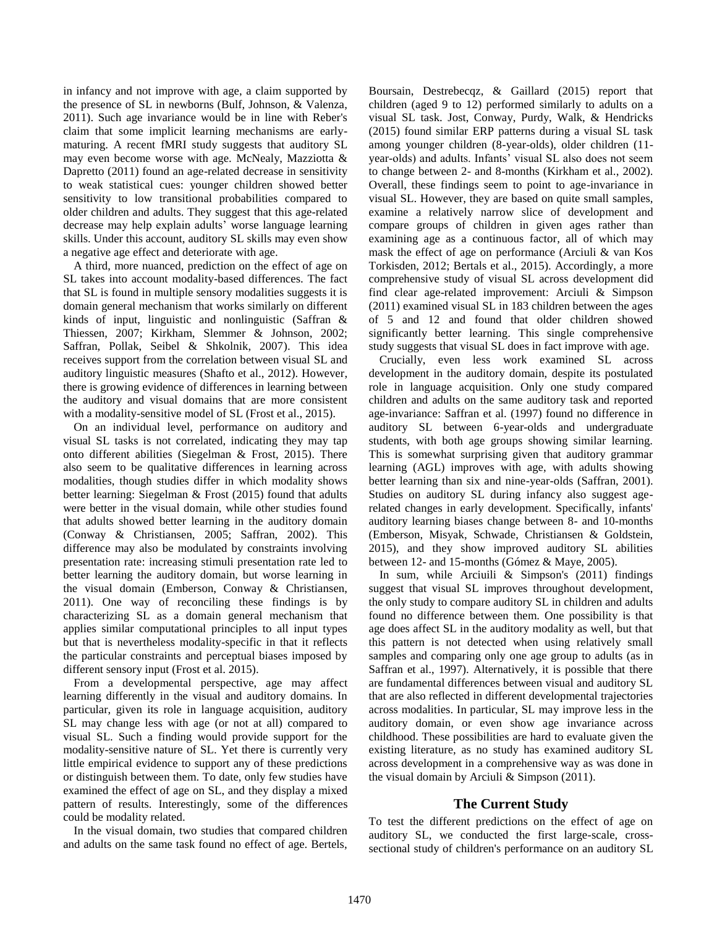in infancy and not improve with age, a claim supported by the presence of SL in newborns (Bulf, Johnson, & Valenza, 2011). Such age invariance would be in line with Reber's claim that some implicit learning mechanisms are earlymaturing. A recent fMRI study suggests that auditory SL may even become worse with age. McNealy, Mazziotta & Dapretto (2011) found an age-related decrease in sensitivity to weak statistical cues: younger children showed better sensitivity to low transitional probabilities compared to older children and adults. They suggest that this age-related decrease may help explain adults' worse language learning skills. Under this account, auditory SL skills may even show a negative age effect and deteriorate with age.

A third, more nuanced, prediction on the effect of age on SL takes into account modality-based differences. The fact that SL is found in multiple sensory modalities suggests it is domain general mechanism that works similarly on different kinds of input, linguistic and nonlinguistic (Saffran & Thiessen, 2007; Kirkham, Slemmer & Johnson, 2002; Saffran, Pollak, Seibel & Shkolnik, 2007). This idea receives support from the correlation between visual SL and auditory linguistic measures (Shafto et al., 2012). However, there is growing evidence of differences in learning between the auditory and visual domains that are more consistent with a modality-sensitive model of SL (Frost et al., 2015).

On an individual level, performance on auditory and visual SL tasks is not correlated, indicating they may tap onto different abilities (Siegelman & Frost, 2015). There also seem to be qualitative differences in learning across modalities, though studies differ in which modality shows better learning: Siegelman & Frost (2015) found that adults were better in the visual domain, while other studies found that adults showed better learning in the auditory domain (Conway & Christiansen, 2005; Saffran, 2002). This difference may also be modulated by constraints involving presentation rate: increasing stimuli presentation rate led to better learning the auditory domain, but worse learning in the visual domain (Emberson, Conway & Christiansen, 2011). One way of reconciling these findings is by characterizing SL as a domain general mechanism that applies similar computational principles to all input types but that is nevertheless modality-specific in that it reflects the particular constraints and perceptual biases imposed by different sensory input (Frost et al. 2015).

From a developmental perspective, age may affect learning differently in the visual and auditory domains. In particular, given its role in language acquisition, auditory SL may change less with age (or not at all) compared to visual SL. Such a finding would provide support for the modality-sensitive nature of SL. Yet there is currently very little empirical evidence to support any of these predictions or distinguish between them. To date, only few studies have examined the effect of age on SL, and they display a mixed pattern of results. Interestingly, some of the differences could be modality related.

In the visual domain, two studies that compared children and adults on the same task found no effect of age. Bertels, Boursain, Destrebecqz, & Gaillard (2015) report that children (aged 9 to 12) performed similarly to adults on a visual SL task. Jost, Conway, Purdy, Walk, & Hendricks (2015) found similar ERP patterns during a visual SL task among younger children (8-year-olds), older children (11 year-olds) and adults. Infants' visual SL also does not seem to change between 2- and 8-months (Kirkham et al., 2002). Overall, these findings seem to point to age-invariance in visual SL. However, they are based on quite small samples, examine a relatively narrow slice of development and compare groups of children in given ages rather than examining age as a continuous factor, all of which may mask the effect of age on performance (Arciuli & van Kos Torkisden, 2012; Bertals et al., 2015). Accordingly, a more comprehensive study of visual SL across development did find clear age-related improvement: Arciuli & Simpson (2011) examined visual SL in 183 children between the ages of 5 and 12 and found that older children showed significantly better learning. This single comprehensive study suggests that visual SL does in fact improve with age.

Crucially, even less work examined SL across development in the auditory domain, despite its postulated role in language acquisition. Only one study compared children and adults on the same auditory task and reported age-invariance: Saffran et al. (1997) found no difference in auditory SL between 6-year-olds and undergraduate students, with both age groups showing similar learning. This is somewhat surprising given that auditory grammar learning (AGL) improves with age, with adults showing better learning than six and nine-year-olds (Saffran, 2001). Studies on auditory SL during infancy also suggest agerelated changes in early development. Specifically, infants' auditory learning biases change between 8- and 10-months (Emberson, Misyak, Schwade, Christiansen & Goldstein, 2015), and they show improved auditory SL abilities between 12- and 15-months (Gómez & Maye, 2005).

In sum, while Arciuili & Simpson's (2011) findings suggest that visual SL improves throughout development, the only study to compare auditory SL in children and adults found no difference between them. One possibility is that age does affect SL in the auditory modality as well, but that this pattern is not detected when using relatively small samples and comparing only one age group to adults (as in Saffran et al., 1997). Alternatively, it is possible that there are fundamental differences between visual and auditory SL that are also reflected in different developmental trajectories across modalities. In particular, SL may improve less in the auditory domain, or even show age invariance across childhood. These possibilities are hard to evaluate given the existing literature, as no study has examined auditory SL across development in a comprehensive way as was done in the visual domain by Arciuli & Simpson (2011).

# **The Current Study**

To test the different predictions on the effect of age on auditory SL, we conducted the first large-scale, crosssectional study of children's performance on an auditory SL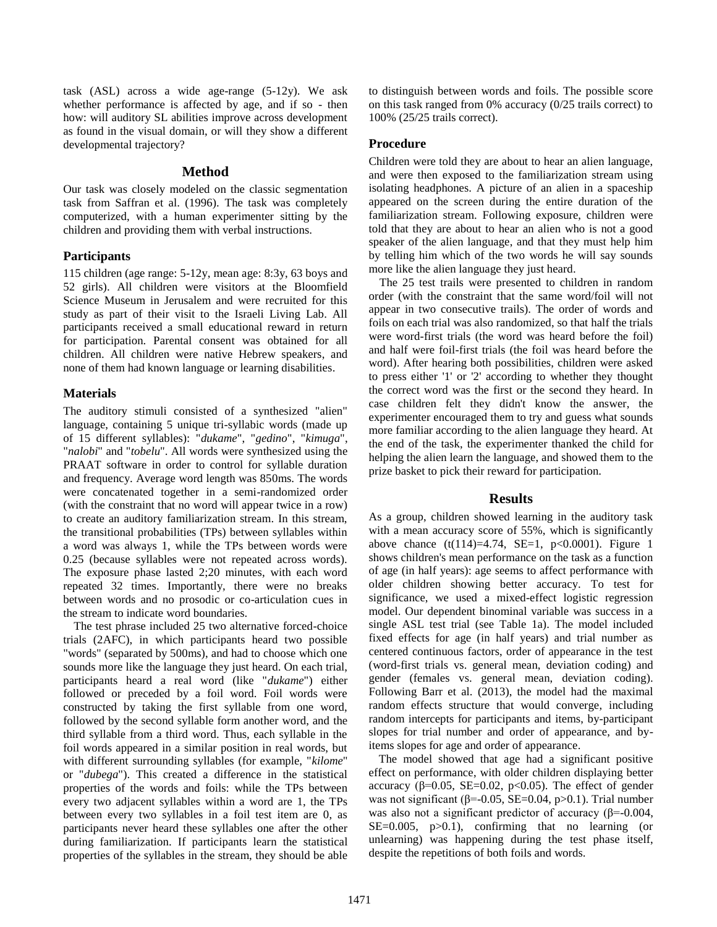task (ASL) across a wide age-range (5-12y). We ask whether performance is affected by age, and if so - then how: will auditory SL abilities improve across development as found in the visual domain, or will they show a different developmental trajectory?

# **Method**

Our task was closely modeled on the classic segmentation task from Saffran et al. (1996). The task was completely computerized, with a human experimenter sitting by the children and providing them with verbal instructions.

## **Participants**

115 children (age range: 5-12y, mean age: 8:3y, 63 boys and 52 girls). All children were visitors at the Bloomfield Science Museum in Jerusalem and were recruited for this study as part of their visit to the Israeli Living Lab. All participants received a small educational reward in return for participation. Parental consent was obtained for all children. All children were native Hebrew speakers, and none of them had known language or learning disabilities.

# **Materials**

The auditory stimuli consisted of a synthesized "alien" language, containing 5 unique tri-syllabic words (made up of 15 different syllables): "*dukame*", "*gedino*", "*kimuga*", "*nalobi*" and "*tobelu*". All words were synthesized using the PRAAT software in order to control for syllable duration and frequency. Average word length was 850ms. The words were concatenated together in a semi-randomized order (with the constraint that no word will appear twice in a row) to create an auditory familiarization stream. In this stream, the transitional probabilities (TPs) between syllables within a word was always 1, while the TPs between words were 0.25 (because syllables were not repeated across words). The exposure phase lasted 2;20 minutes, with each word repeated 32 times. Importantly, there were no breaks between words and no prosodic or co-articulation cues in the stream to indicate word boundaries.

The test phrase included 25 two alternative forced-choice trials (2AFC), in which participants heard two possible "words" (separated by 500ms), and had to choose which one sounds more like the language they just heard. On each trial, participants heard a real word (like "*dukame*") either followed or preceded by a foil word. Foil words were constructed by taking the first syllable from one word, followed by the second syllable form another word, and the third syllable from a third word. Thus, each syllable in the foil words appeared in a similar position in real words, but with different surrounding syllables (for example, "*kilome*" or "*dubega*"). This created a difference in the statistical properties of the words and foils: while the TPs between every two adjacent syllables within a word are 1, the TPs between every two syllables in a foil test item are 0, as participants never heard these syllables one after the other during familiarization. If participants learn the statistical properties of the syllables in the stream, they should be able to distinguish between words and foils. The possible score on this task ranged from 0% accuracy (0/25 trails correct) to 100% (25/25 trails correct).

# **Procedure**

Children were told they are about to hear an alien language, and were then exposed to the familiarization stream using isolating headphones. A picture of an alien in a spaceship appeared on the screen during the entire duration of the familiarization stream. Following exposure, children were told that they are about to hear an alien who is not a good speaker of the alien language, and that they must help him by telling him which of the two words he will say sounds more like the alien language they just heard.

The 25 test trails were presented to children in random order (with the constraint that the same word/foil will not appear in two consecutive trails). The order of words and foils on each trial was also randomized, so that half the trials were word-first trials (the word was heard before the foil) and half were foil-first trials (the foil was heard before the word). After hearing both possibilities, children were asked to press either '1' or '2' according to whether they thought the correct word was the first or the second they heard. In case children felt they didn't know the answer, the experimenter encouraged them to try and guess what sounds more familiar according to the alien language they heard. At the end of the task, the experimenter thanked the child for helping the alien learn the language, and showed them to the prize basket to pick their reward for participation.

# **Results**

As a group, children showed learning in the auditory task with a mean accuracy score of 55%, which is significantly above chance  $(t(114)=4.74, SE=1, p<0.0001)$ . Figure 1 shows children's mean performance on the task as a function of age (in half years): age seems to affect performance with older children showing better accuracy. To test for significance, we used a mixed-effect logistic regression model. Our dependent binominal variable was success in a single ASL test trial (see Table 1a). The model included fixed effects for age (in half years) and trial number as centered continuous factors, order of appearance in the test (word-first trials vs. general mean, deviation coding) and gender (females vs. general mean, deviation coding). Following Barr et al. (2013), the model had the maximal random effects structure that would converge, including random intercepts for participants and items, by-participant slopes for trial number and order of appearance, and byitems slopes for age and order of appearance.

The model showed that age had a significant positive effect on performance, with older children displaying better accuracy ( $β=0.05$ , SE=0.02, p<0.05). The effect of gender was not significant ( $\beta$ =-0.05, SE=0.04, p>0.1). Trial number was also not a significant predictor of accuracy (β=-0.004,  $SE=0.005$ ,  $p>0.1$ ), confirming that no learning (or unlearning) was happening during the test phase itself, despite the repetitions of both foils and words.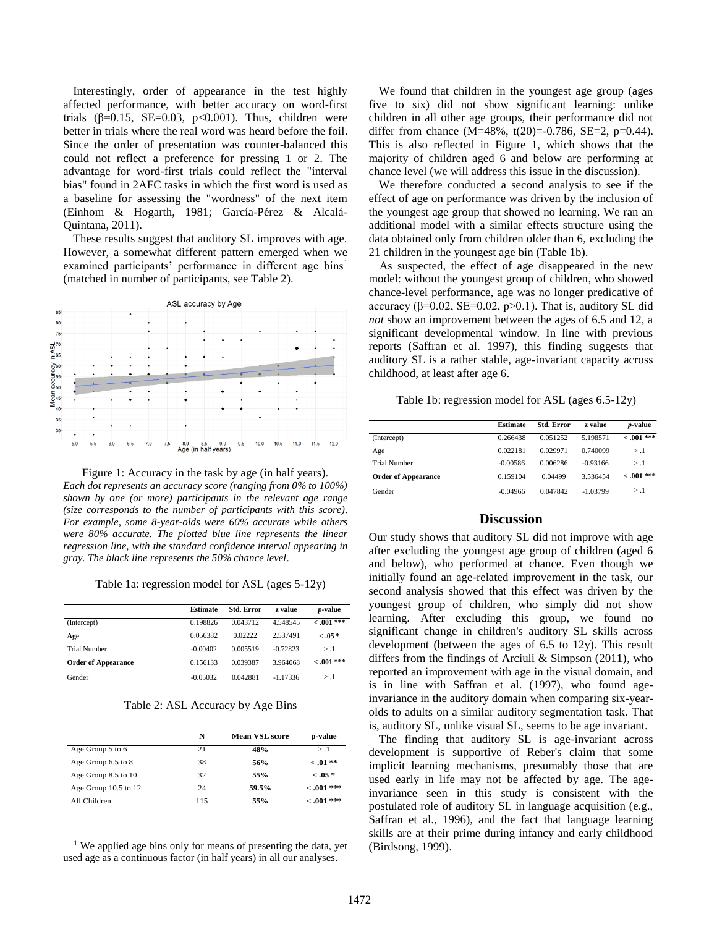Interestingly, order of appearance in the test highly affected performance, with better accuracy on word-first trials ( $\beta$ =0.15, SE=0.03, p<0.001). Thus, children were better in trials where the real word was heard before the foil. Since the order of presentation was counter-balanced this could not reflect a preference for pressing 1 or 2. The advantage for word-first trials could reflect the "interval bias" found in 2AFC tasks in which the first word is used as a baseline for assessing the "wordness" of the next item (Einhom & Hogarth, 1981; García-Pérez & Alcalá-Quintana, 2011).

These results suggest that auditory SL improves with age. However, a somewhat different pattern emerged when we examined participants' performance in different age bins<sup>1</sup> (matched in number of participants, see Table 2).



Figure 1: Accuracy in the task by age (in half years). *Each dot represents an accuracy score (ranging from 0% to 100%) shown by one (or more) participants in the relevant age range (size corresponds to the number of participants with this score). For example, some 8-year-olds were 60% accurate while others were 80% accurate. The plotted blue line represents the linear regression line, with the standard confidence interval appearing in gray. The black line represents the 50% chance level*.

Table 1a: regression model for ASL (ages 5-12y)

|                            | <b>Estimate</b> | <b>Std. Error</b> | z value    | <i>p</i> -value |
|----------------------------|-----------------|-------------------|------------|-----------------|
| (Intercept)                | 0.198826        | 0.043712          | 4.548545   | $< .001$ ***    |
| Age                        | 0.056382        | 0.02222           | 2.537491   | $-.05*$         |
| <b>Trial Number</b>        | $-0.00402$      | 0.005519          | $-0.72823$ | > .1            |
| <b>Order of Appearance</b> | 0.156133        | 0.039387          | 3.964068   | $< .001$ ***    |
| Gender                     | $-0.05032$      | 0.042881          | $-1.17336$ | > 1             |

Table 2: ASL Accuracy by Age Bins

|                      | N<br><b>Mean VSL score</b> |       | p-value      |  |
|----------------------|----------------------------|-------|--------------|--|
| Age Group 5 to 6     | 21                         | 48%   | > 1          |  |
| Age Group 6.5 to 8   | 38                         | 56%   | $< .01$ **   |  |
| Age Group 8.5 to 10  | 32                         | 55%   | $-.05*$      |  |
| Age Group 10.5 to 12 | 24                         | 59.5% | $-.001$ ***  |  |
| All Children         | 115                        | 55%   | $< .001$ *** |  |

<sup>1</sup> We applied age bins only for means of presenting the data, yet used age as a continuous factor (in half years) in all our analyses.

 $\overline{a}$ 

We found that children in the youngest age group (ages five to six) did not show significant learning: unlike children in all other age groups, their performance did not differ from chance  $(M=48\%, t(20)=0.786, SE=2, p=0.44)$ . This is also reflected in Figure 1, which shows that the majority of children aged 6 and below are performing at chance level (we will address this issue in the discussion).

We therefore conducted a second analysis to see if the effect of age on performance was driven by the inclusion of the youngest age group that showed no learning. We ran an additional model with a similar effects structure using the data obtained only from children older than 6, excluding the 21 children in the youngest age bin (Table 1b).

As suspected, the effect of age disappeared in the new model: without the youngest group of children, who showed chance-level performance, age was no longer predicative of accuracy ( $\beta$ =0.02, SE=0.02, p>0.1). That is, auditory SL did *not* show an improvement between the ages of 6.5 and 12, a significant developmental window. In line with previous reports (Saffran et al. 1997), this finding suggests that auditory SL is a rather stable, age-invariant capacity across childhood, at least after age 6.

Table 1b: regression model for ASL (ages 6.5-12y)

|                            | <b>Estimate</b> | <b>Std. Error</b> | z value    | <i>p</i> -value |
|----------------------------|-----------------|-------------------|------------|-----------------|
| (Intercept)                | 0.266438        | 0.051252          | 5.198571   | $-.001$ ***     |
| Age                        | 0.022181        | 0.029971          | 0.740099   | > .1            |
| <b>Trial Number</b>        | $-0.00586$      | 0.006286          | $-0.93166$ | > 0.1           |
| <b>Order of Appearance</b> | 0.159104        | 0.04499           | 3.536454   | $< 0.01$ ***    |
| Gender                     | $-0.04966$      | 0.047842          | $-1.03799$ | > .1            |

## **Discussion**

Our study shows that auditory SL did not improve with age after excluding the youngest age group of children (aged 6 and below), who performed at chance. Even though we initially found an age-related improvement in the task, our second analysis showed that this effect was driven by the youngest group of children, who simply did not show learning. After excluding this group, we found no significant change in children's auditory SL skills across development (between the ages of 6.5 to 12y). This result differs from the findings of Arciuli & Simpson (2011), who reported an improvement with age in the visual domain, and is in line with Saffran et al. (1997), who found ageinvariance in the auditory domain when comparing six-yearolds to adults on a similar auditory segmentation task. That is, auditory SL, unlike visual SL, seems to be age invariant.

The finding that auditory SL is age-invariant across development is supportive of Reber's claim that some implicit learning mechanisms, presumably those that are used early in life may not be affected by age. The ageinvariance seen in this study is consistent with the postulated role of auditory SL in language acquisition (e.g., Saffran et al., 1996), and the fact that language learning skills are at their prime during infancy and early childhood (Birdsong, 1999).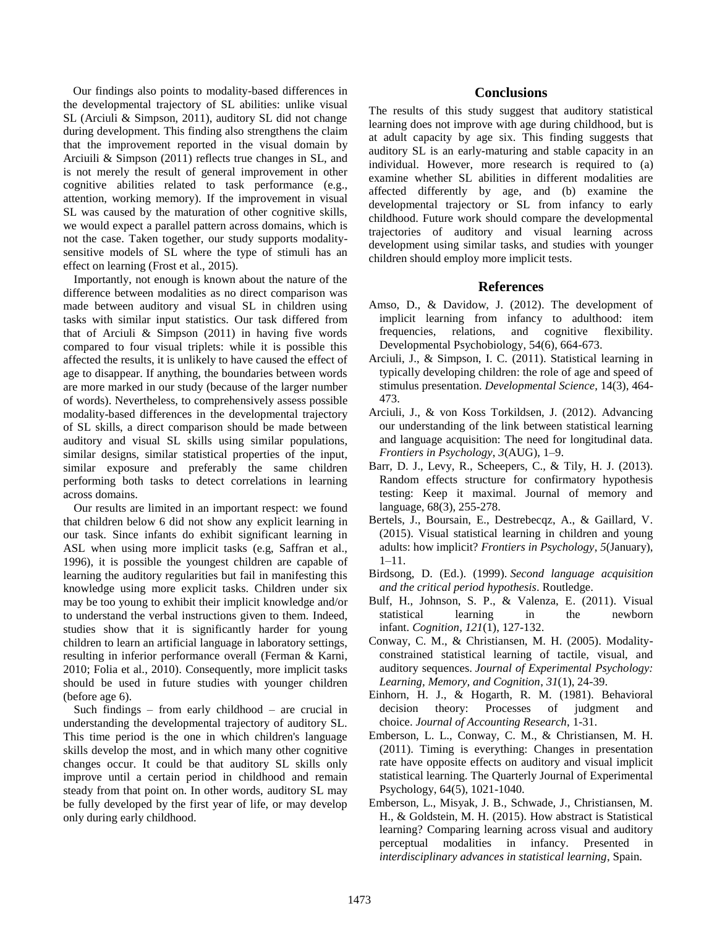Our findings also points to modality-based differences in the developmental trajectory of SL abilities: unlike visual SL (Arciuli & Simpson, 2011), auditory SL did not change during development. This finding also strengthens the claim that the improvement reported in the visual domain by Arciuili & Simpson (2011) reflects true changes in SL, and is not merely the result of general improvement in other cognitive abilities related to task performance (e.g., attention, working memory). If the improvement in visual SL was caused by the maturation of other cognitive skills, we would expect a parallel pattern across domains, which is not the case. Taken together, our study supports modalitysensitive models of SL where the type of stimuli has an effect on learning (Frost et al., 2015).

Importantly, not enough is known about the nature of the difference between modalities as no direct comparison was made between auditory and visual SL in children using tasks with similar input statistics. Our task differed from that of Arciuli & Simpson (2011) in having five words compared to four visual triplets: while it is possible this affected the results, it is unlikely to have caused the effect of age to disappear. If anything, the boundaries between words are more marked in our study (because of the larger number of words). Nevertheless, to comprehensively assess possible modality-based differences in the developmental trajectory of SL skills, a direct comparison should be made between auditory and visual SL skills using similar populations, similar designs, similar statistical properties of the input, similar exposure and preferably the same children performing both tasks to detect correlations in learning across domains.

Our results are limited in an important respect: we found that children below 6 did not show any explicit learning in our task. Since infants do exhibit significant learning in ASL when using more implicit tasks (e.g, Saffran et al., 1996), it is possible the youngest children are capable of learning the auditory regularities but fail in manifesting this knowledge using more explicit tasks. Children under six may be too young to exhibit their implicit knowledge and/or to understand the verbal instructions given to them. Indeed, studies show that it is significantly harder for young children to learn an artificial language in laboratory settings, resulting in inferior performance overall (Ferman & Karni, 2010; Folia et al., 2010). Consequently, more implicit tasks should be used in future studies with younger children (before age 6).

Such findings – from early childhood – are crucial in understanding the developmental trajectory of auditory SL. This time period is the one in which children's language skills develop the most, and in which many other cognitive changes occur. It could be that auditory SL skills only improve until a certain period in childhood and remain steady from that point on. In other words, auditory SL may be fully developed by the first year of life, or may develop only during early childhood.

## **Conclusions**

The results of this study suggest that auditory statistical learning does not improve with age during childhood, but is at adult capacity by age six. This finding suggests that auditory SL is an early-maturing and stable capacity in an individual. However, more research is required to (a) examine whether SL abilities in different modalities are affected differently by age, and (b) examine the developmental trajectory or SL from infancy to early childhood. Future work should compare the developmental trajectories of auditory and visual learning across development using similar tasks, and studies with younger children should employ more implicit tests.

## **References**

- Amso, D., & Davidow, J. (2012). The development of implicit learning from infancy to adulthood: item frequencies, relations, and cognitive flexibility. Developmental Psychobiology, 54(6), 664-673.
- Arciuli, J., & Simpson, I. C. (2011). Statistical learning in typically developing children: the role of age and speed of stimulus presentation. *Developmental Science*, 14(3), 464- 473.
- Arciuli, J., & von Koss Torkildsen, J. (2012). Advancing our understanding of the link between statistical learning and language acquisition: The need for longitudinal data. *Frontiers in Psychology*, *3*(AUG), 1–9.
- Barr, D. J., Levy, R., Scheepers, C., & Tily, H. J. (2013). Random effects structure for confirmatory hypothesis testing: Keep it maximal. Journal of memory and language, 68(3), 255-278.
- Bertels, J., Boursain, E., Destrebecqz, A., & Gaillard, V. (2015). Visual statistical learning in children and young adults: how implicit? *Frontiers in Psychology*, *5*(January), 1–11.
- Birdsong, D. (Ed.). (1999). *Second language acquisition and the critical period hypothesis*. Routledge.
- Bulf, H., Johnson, S. P., & Valenza, E. (2011). Visual statistical learning in the newborn infant. *Cognition*, *121*(1), 127-132.
- Conway, C. M., & Christiansen, M. H. (2005). Modalityconstrained statistical learning of tactile, visual, and auditory sequences. *Journal of Experimental Psychology: Learning, Memory, and Cognition*, *31*(1), 24-39.
- Einhorn, H. J., & Hogarth, R. M. (1981). Behavioral decision theory: Processes of judgment and choice. *Journal of Accounting Research*, 1-31.
- Emberson, L. L., Conway, C. M., & Christiansen, M. H. (2011). Timing is everything: Changes in presentation rate have opposite effects on auditory and visual implicit statistical learning. The Quarterly Journal of Experimental Psychology, 64(5), 1021-1040.
- Emberson, L., Misyak, J. B., Schwade, J., Christiansen, M. H., & Goldstein, M. H. (2015). How abstract is Statistical learning? Comparing learning across visual and auditory perceptual modalities in infancy. Presented in *interdisciplinary advances in statistical learning*, Spain.